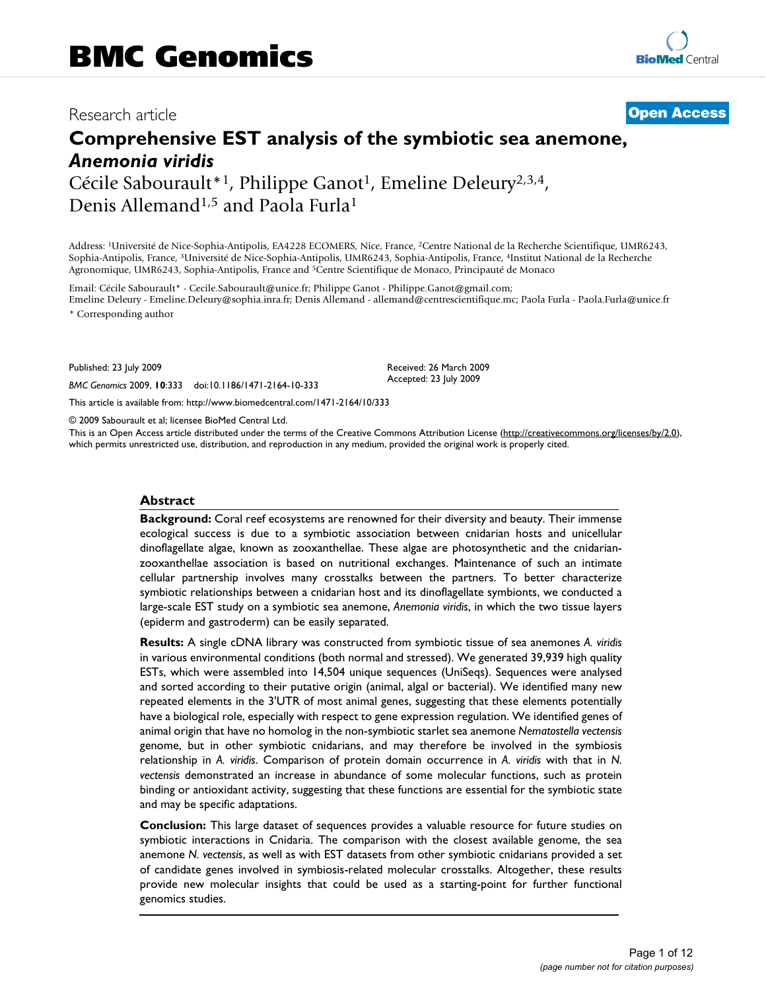# Research article **[Open Access](http://www.biomedcentral.com/info/about/charter/)**

# **Comprehensive EST analysis of the symbiotic sea anemone,**  *Anemonia viridis*

Cécile Sabourault<sup>\*1</sup>, Philippe Ganot<sup>1</sup>, Emeline Deleury<sup>2,3,4</sup>, Denis Allemand1,5 and Paola Furla1

Address: 1Université de Nice-Sophia-Antipolis, EA4228 ECOMERS, Nice, France, 2Centre National de la Recherche Scientifique, UMR6243, Sophia-Antipolis, France, 3Université de Nice-Sophia-Antipolis, UMR6243, Sophia-Antipolis, France, 4Institut National de la Recherche Agronomique, UMR6243, Sophia-Antipolis, France and 5Centre Scientifique de Monaco, Principauté de Monaco

Email: Cécile Sabourault\* - Cecile.Sabourault@unice.fr; Philippe Ganot - Philippe.Ganot@gmail.com; Emeline Deleury - Emeline.Deleury@sophia.inra.fr; Denis Allemand - allemand@centrescientifique.mc; Paola Furla - Paola.Furla@unice.fr \* Corresponding author

Published: 23 July 2009

*BMC Genomics* 2009, **10**:333 doi:10.1186/1471-2164-10-333

[This article is available from: http://www.biomedcentral.com/1471-2164/10/333](http://www.biomedcentral.com/1471-2164/10/333)

© 2009 Sabourault et al; licensee BioMed Central Ltd.

This is an Open Access article distributed under the terms of the Creative Commons Attribution License [\(http://creativecommons.org/licenses/by/2.0\)](http://creativecommons.org/licenses/by/2.0), which permits unrestricted use, distribution, and reproduction in any medium, provided the original work is properly cited.

Received: 26 March 2009 Accepted: 23 July 2009

#### **Abstract**

**Background:** Coral reef ecosystems are renowned for their diversity and beauty. Their immense ecological success is due to a symbiotic association between cnidarian hosts and unicellular dinoflagellate algae, known as zooxanthellae. These algae are photosynthetic and the cnidarianzooxanthellae association is based on nutritional exchanges. Maintenance of such an intimate cellular partnership involves many crosstalks between the partners. To better characterize symbiotic relationships between a cnidarian host and its dinoflagellate symbionts, we conducted a large-scale EST study on a symbiotic sea anemone, *Anemonia viridis*, in which the two tissue layers (epiderm and gastroderm) can be easily separated.

**Results:** A single cDNA library was constructed from symbiotic tissue of sea anemones *A. viridis* in various environmental conditions (both normal and stressed). We generated 39,939 high quality ESTs, which were assembled into 14,504 unique sequences (UniSeqs). Sequences were analysed and sorted according to their putative origin (animal, algal or bacterial). We identified many new repeated elements in the 3'UTR of most animal genes, suggesting that these elements potentially have a biological role, especially with respect to gene expression regulation. We identified genes of animal origin that have no homolog in the non-symbiotic starlet sea anemone *Nematostella vectensis* genome, but in other symbiotic cnidarians, and may therefore be involved in the symbiosis relationship in *A. viridis*. Comparison of protein domain occurrence in *A. viridis* with that in *N. vectensis* demonstrated an increase in abundance of some molecular functions, such as protein binding or antioxidant activity, suggesting that these functions are essential for the symbiotic state and may be specific adaptations.

**Conclusion:** This large dataset of sequences provides a valuable resource for future studies on symbiotic interactions in Cnidaria. The comparison with the closest available genome, the sea anemone *N. vectensis*, as well as with EST datasets from other symbiotic cnidarians provided a set of candidate genes involved in symbiosis-related molecular crosstalks. Altogether, these results provide new molecular insights that could be used as a starting-point for further functional genomics studies.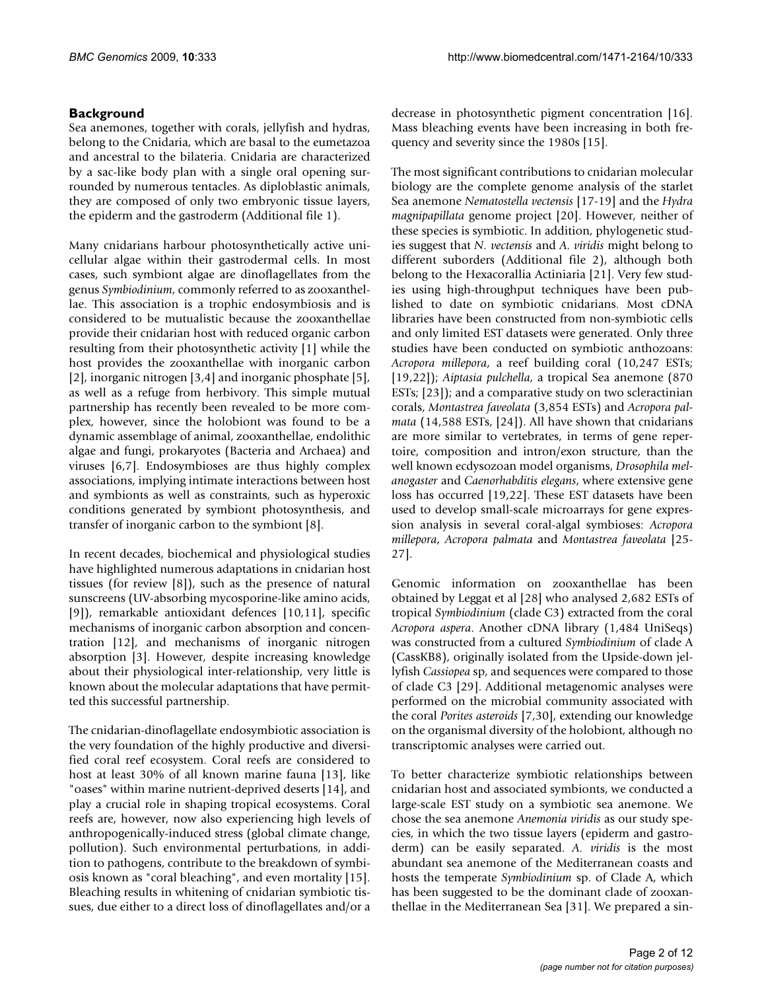## **Background**

Sea anemones, together with corals, jellyfish and hydras, belong to the Cnidaria, which are basal to the eumetazoa and ancestral to the bilateria. Cnidaria are characterized by a sac-like body plan with a single oral opening surrounded by numerous tentacles. As diploblastic animals, they are composed of only two embryonic tissue layers, the epiderm and the gastroderm (Additional file 1).

Many cnidarians harbour photosynthetically active unicellular algae within their gastrodermal cells. In most cases, such symbiont algae are dinoflagellates from the genus *Symbiodinium*, commonly referred to as zooxanthellae. This association is a trophic endosymbiosis and is considered to be mutualistic because the zooxanthellae provide their cnidarian host with reduced organic carbon resulting from their photosynthetic activity [1] while the host provides the zooxanthellae with inorganic carbon [[2\]](#page-10-0), inorganic nitrogen [3,4] and inorganic phosphate [5], as well as a refuge from herbivory. This simple mutual partnership has recently been revealed to be more complex, however, since the holobiont was found to be a dynamic assemblage of animal, zooxanthellae, endolithic algae and fungi, prokaryotes (Bacteria and Archaea) and viruses [6,7]. Endosymbioses are thus highly complex associations, implying intimate interactions between host and symbionts as well as constraints, such as hyperoxic conditions generated by symbiont photosynthesis, and transfer of inorganic carbon to the symbiont [8].

In recent decades, biochemical and physiological studies have highlighted numerous adaptations in cnidarian host tissues (for review [8]), such as the presence of natural sunscreens (UV-absorbing mycosporine-like amino acids, [9]), remarkable antioxidant defences [10,11], specific mechanisms of inorganic carbon absorption and concentration [12], and mechanisms of inorganic nitrogen absorption [3]. However, despite increasing knowledge about their physiological inter-relationship, very little is known about the molecular adaptations that have permitted this successful partnership.

The cnidarian-dinoflagellate endosymbiotic association is the very foundation of the highly productive and diversified coral reef ecosystem. Coral reefs are considered to host at least 30% of all known marine fauna [13], like "oases" within marine nutrient-deprived deserts [14], and play a crucial role in shaping tropical ecosystems. Coral reefs are, however, now also experiencing high levels of anthropogenically-induced stress (global climate change, pollution). Such environmental perturbations, in addition to pathogens, contribute to the breakdown of symbiosis known as "coral bleaching", and even mortality [15]. Bleaching results in whitening of cnidarian symbiotic tissues, due either to a direct loss of dinoflagellates and/or a

decrease in photosynthetic pigment concentration [16]. Mass bleaching events have been increasing in both frequency and severity since the 1980s [15].

The most significant contributions to cnidarian molecular biology are the complete genome analysis of the starlet Sea anemone *Nematostella vectensis* [17-19] and the *Hydra magnipapillata* genome project [20]. However, neither of these species is symbiotic. In addition, phylogenetic studies suggest that *N. vectensis* and *A. viridis* might belong to different suborders (Additional file 2), although both belong to the Hexacorallia Actiniaria [21]. Very few studies using high-throughput techniques have been published to date on symbiotic cnidarians. Most cDNA libraries have been constructed from non-symbiotic cells and only limited EST datasets were generated. Only three studies have been conducted on symbiotic anthozoans: *Acropora millepora*, a reef building coral (10,247 ESTs; [19,22]); *Aiptasia pulchella*, a tropical Sea anemone (870 ESTs; [23]); and a comparative study on two scleractinian corals, *Montastrea faveolata* (3,854 ESTs) and *Acropora palmata* (14,588 ESTs, [24]). All have shown that cnidarians are more similar to vertebrates, in terms of gene repertoire, composition and intron/exon structure, than the well known ecdysozoan model organisms, *Drosophila melanogaster* and *Caenorhabditis elegans*, where extensive gene loss has occurred [19,22]. These EST datasets have been used to develop small-scale microarrays for gene expression analysis in several coral-algal symbioses: *Acropora millepora*, *Acropora palmata* and *Montastrea faveolata* [25- 27].

Genomic information on zooxanthellae has been obtained by Leggat et al [28] who analysed 2,682 ESTs of tropical *Symbiodinium* (clade C3) extracted from the coral *Acropora aspera*. Another cDNA library (1,484 UniSeqs) was constructed from a cultured *Symbiodinium* of clade A (CassKB8), originally isolated from the Upside-down jellyfish *Cassiopea* sp, and sequences were compared to those of clade C3 [29]. Additional metagenomic analyses were performed on the microbial community associated with the coral *Porites asteroids* [7,30], extending our knowledge on the organismal diversity of the holobiont, although no transcriptomic analyses were carried out.

To better characterize symbiotic relationships between cnidarian host and associated symbionts, we conducted a large-scale EST study on a symbiotic sea anemone. We chose the sea anemone *Anemonia viridis* as our study species, in which the two tissue layers (epiderm and gastroderm) can be easily separated. *A. viridis* is the most abundant sea anemone of the Mediterranean coasts and hosts the temperate *Symbiodinium* sp. of Clade A, which has been suggested to be the dominant clade of zooxanthellae in the Mediterranean Sea [31]. We prepared a sin-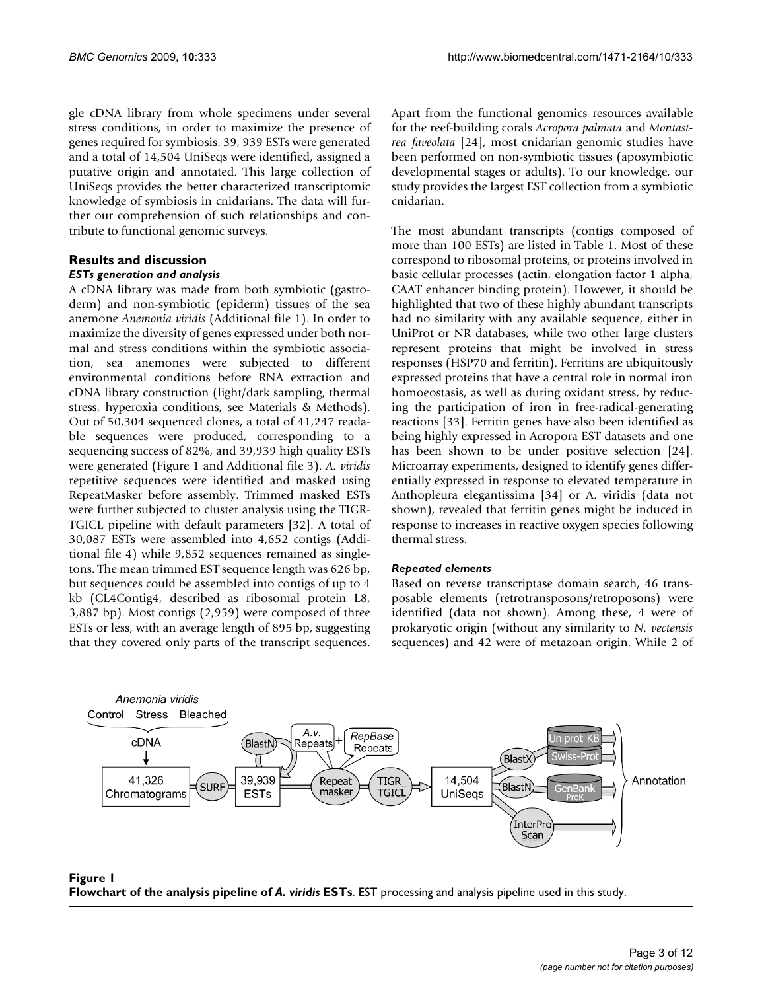gle cDNA library from whole specimens under several stress conditions, in order to maximize the presence of genes required for symbiosis. 39, 939 ESTs were generated and a total of 14,504 UniSeqs were identified, assigned a putative origin and annotated. This large collection of UniSeqs provides the better characterized transcriptomic knowledge of symbiosis in cnidarians. The data will further our comprehension of such relationships and contribute to functional genomic surveys.

#### **Results and discussion** *ESTs generation and analysis*

A cDNA library was made from both symbiotic (gastroderm) and non-symbiotic (epiderm) tissues of the sea anemone *Anemonia viridis* (Additional file 1). In order to maximize the diversity of genes expressed under both normal and stress conditions within the symbiotic association, sea anemones were subjected to different environmental conditions before RNA extraction and cDNA library construction (light/dark sampling, thermal stress, hyperoxia conditions, see Materials & Methods). Out of 50,304 sequenced clones, a total of 41,247 readable sequences were produced, corresponding to a sequencing success of 82%, and 39,939 high quality ESTs were generated (Figure 1 and Additional file 3). *A. viridis* repetitive sequences were identified and masked using RepeatMasker before assembly. Trimmed masked ESTs were further subjected to cluster analysis using the TIGR-TGICL pipeline with default parameters [32]. A total of 30,087 ESTs were assembled into 4,652 contigs (Additional file 4) while 9,852 sequences remained as singletons. The mean trimmed EST sequence length was 626 bp, but sequences could be assembled into contigs of up to 4 kb (CL4Contig4, described as ribosomal protein L8, 3,887 bp). Most contigs (2,959) were composed of three ESTs or less, with an average length of 895 bp, suggesting that they covered only parts of the transcript sequences. Apart from the functional genomics resources available for the reef-building corals *Acropora palmata* and *Montastrea faveolata* [24], most cnidarian genomic studies have been performed on non-symbiotic tissues (aposymbiotic developmental stages or adults). To our knowledge, our study provides the largest EST collection from a symbiotic cnidarian.

The most abundant transcripts (contigs composed of more than 100 ESTs) are listed in Table 1. Most of these correspond to ribosomal proteins, or proteins involved in basic cellular processes (actin, elongation factor 1 alpha, CAAT enhancer binding protein). However, it should be highlighted that two of these highly abundant transcripts had no similarity with any available sequence, either in UniProt or NR databases, while two other large clusters represent proteins that might be involved in stress responses (HSP70 and ferritin). Ferritins are ubiquitously expressed proteins that have a central role in normal iron homoeostasis, as well as during oxidant stress, by reducing the participation of iron in free-radical-generating reactions [33]. Ferritin genes have also been identified as being highly expressed in Acropora EST datasets and one has been shown to be under positive selection [24]. Microarray experiments, designed to identify genes differentially expressed in response to elevated temperature in Anthopleura elegantissima [34] or A. viridis (data not shown), revealed that ferritin genes might be induced in response to increases in reactive oxygen species following thermal stress.

#### *Repeated elements*

Based on reverse transcriptase domain search, 46 transposable elements (retrotransposons/retroposons) were identified (data not shown). Among these, 4 were of prokaryotic origin (without any similarity to *N. vectensis* sequences) and 42 were of metazoan origin. While 2 of



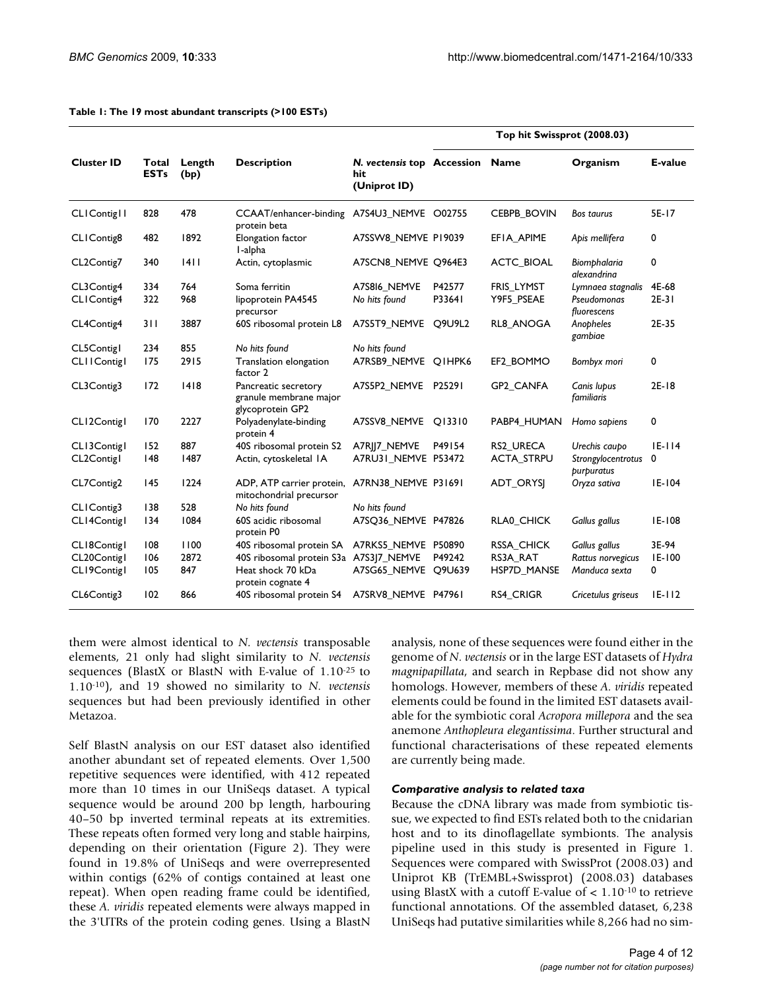|                     |                      |                |                                                                    |                                                   |        | Top hit Swissprot (2008.03) |                                  |           |
|---------------------|----------------------|----------------|--------------------------------------------------------------------|---------------------------------------------------|--------|-----------------------------|----------------------------------|-----------|
| <b>Cluster ID</b>   | Total<br><b>ESTs</b> | Length<br>(bp) | <b>Description</b>                                                 | N. vectensis top Accession<br>hit<br>(Uniprot ID) |        | <b>Name</b>                 | Organism                         | E-value   |
| CLI Contigl I       | 828                  | 478            | CCAAT/enhancer-binding A7S4U3_NEMVE O02755<br>protein beta         |                                                   |        | CEBPB_BOVIN                 | <b>Bos taurus</b>                | $5E-17$   |
| CLI Contig8         | 482                  | 1892           | Elongation factor<br>I-alpha                                       | A7SSW8 NEMVE P19039                               |        | EFIA APIME                  | Apis mellifera                   | 0         |
| CL2Contig7          | 340                  | 4              | Actin, cytoplasmic                                                 | A7SCN8_NEMVE Q964E3                               |        | ACTC_BIOAL                  | Biomphalaria<br>alexandrina      | 0         |
| CL3Contig4          | 334                  | 764            | Soma ferritin                                                      | A7S8I6 NEMVE                                      | P42577 | FRIS LYMST                  | Lymnaea stagnalis                | 4E-68     |
| CLI Contig4         | 322                  | 968            | lipoprotein PA4545<br>precursor                                    | No hits found                                     | P33641 | Y9F5_PSEAE                  | Pseudomonas<br>fluorescens       | $2E-3I$   |
| CL4Contig4          | 311                  | 3887           | 60S ribosomal protein L8                                           | A7S5T9_NEMVE Q9U9L2                               |        | RL8_ANOGA                   | Anopheles<br>gambiae             | 2E-35     |
| CL5Contig1          | 234                  | 855            | No hits found                                                      | No hits found                                     |        |                             |                                  |           |
| <b>CLII</b> Contigl | 175                  | 2915           | Translation elongation<br>factor 2                                 | A7RSB9 NEMVE QIHPK6                               |        | EF2 BOMMO                   | Bombyx mori                      | 0         |
| CL3Contig3          | 172                  | 1418           | Pancreatic secretory<br>granule membrane major<br>glycoprotein GP2 | A7S5P2_NEMVE P25291                               |        | GP2_CANFA                   | Canis lupus<br>familiaris        | $2E-18$   |
| CL12Contig1         | 170                  | 2227           | Polyadenylate-binding<br>protein 4                                 | A7SSV8 NEMVE Q13310                               |        | PABP4 HUMAN                 | Homo sapiens                     | 0         |
| CL13Contig1         | 152                  | 887            | 40S ribosomal protein S2                                           | A7RJJ7_NEMVE                                      | P49154 | RS2 URECA                   | Urechis caupo                    | $IE-I14$  |
| CL2Contig1          | 148                  | 1487           | Actin, cytoskeletal IA                                             | A7RU31 NEMVE P53472                               |        | ACTA_STRPU                  | Strongylocentrotus<br>purpuratus | 0         |
| CL7Contig2          | 145                  | 1224           | ADP, ATP carrier protein,<br>mitochondrial precursor               | A7RN38_NEMVE_P31691                               |        | ADT_ORYSJ                   | Oryza sativa                     | $ E-104 $ |
| CLI Contig3         | 138                  | 528            | No hits found                                                      | No hits found                                     |        |                             |                                  |           |
| CL14Contig1         | 134                  | 1084           | 60S acidic ribosomal<br>protein P0                                 | A7SQ36_NEMVE P47826                               |        | RLA0_CHICK                  | Gallus gallus                    | IE-108    |
| CL18Contig1         | 108                  | 1100           | 40S ribosomal protein SA                                           | A7RKS5 NEMVE P50890                               |        | <b>RSSA_CHICK</b>           | Gallus gallus                    | 3E-94     |
| CL20Contigl         | 106                  | 2872           | 40S ribosomal protein S3a A7S3J7_NEMVE                             |                                                   | P49242 | RS3A RAT                    | Rattus norvegicus                | $IE-100$  |
| CL19Contig1         | 105                  | 847            | Heat shock 70 kDa<br>protein cognate 4                             | A7SG65_NEMVE Q9U639                               |        | HSP7D_MANSE                 | Manduca sexta                    | 0         |
| CL6Contig3          | 102                  | 866            | 40S ribosomal protein S4 A7SRV8_NEMVE P47961                       |                                                   |        | <b>RS4 CRIGR</b>            | Cricetulus griseus               | $IE-I12$  |

#### **Table 1: The 19 most abundant transcripts (>100 ESTs)**

them were almost identical to *N. vectensis* transposable elements, 21 only had slight similarity to *N. vectensis* sequences (BlastX or BlastN with E-value of 1.10<sup>-25</sup> to 1.10-10), and 19 showed no similarity to *N. vectensis* sequences but had been previously identified in other Metazoa.

Self BlastN analysis on our EST dataset also identified another abundant set of repeated elements. Over 1,500 repetitive sequences were identified, with 412 repeated more than 10 times in our UniSeqs dataset. A typical sequence would be around 200 bp length, harbouring 40–50 bp inverted terminal repeats at its extremities. These repeats often formed very long and stable hairpins, depending on their orientation (Figure 2). They were found in 19.8% of UniSeqs and were overrepresented within contigs (62% of contigs contained at least one repeat). When open reading frame could be identified, these *A. viridis* repeated elements were always mapped in the 3'UTRs of the protein coding genes. Using a BlastN

analysis, none of these sequences were found either in the genome of *N. vectensis* or in the large EST datasets of *Hydra magnipapillata*, and search in Repbase did not show any homologs. However, members of these *A. viridis* repeated elements could be found in the limited EST datasets available for the symbiotic coral *Acropora millepora* and the sea anemone *Anthopleura elegantissima*. Further structural and functional characterisations of these repeated elements are currently being made.

#### *Comparative analysis to related taxa*

Because the cDNA library was made from symbiotic tissue, we expected to find ESTs related both to the cnidarian host and to its dinoflagellate symbionts. The analysis pipeline used in this study is presented in Figure 1. Sequences were compared with SwissProt (2008.03) and Uniprot KB (TrEMBL+Swissprot) (2008.03) databases using BlastX with a cutoff E-value of  $< 1.10^{-10}$  to retrieve functional annotations. Of the assembled dataset, 6,238 UniSeqs had putative similarities while 8,266 had no sim-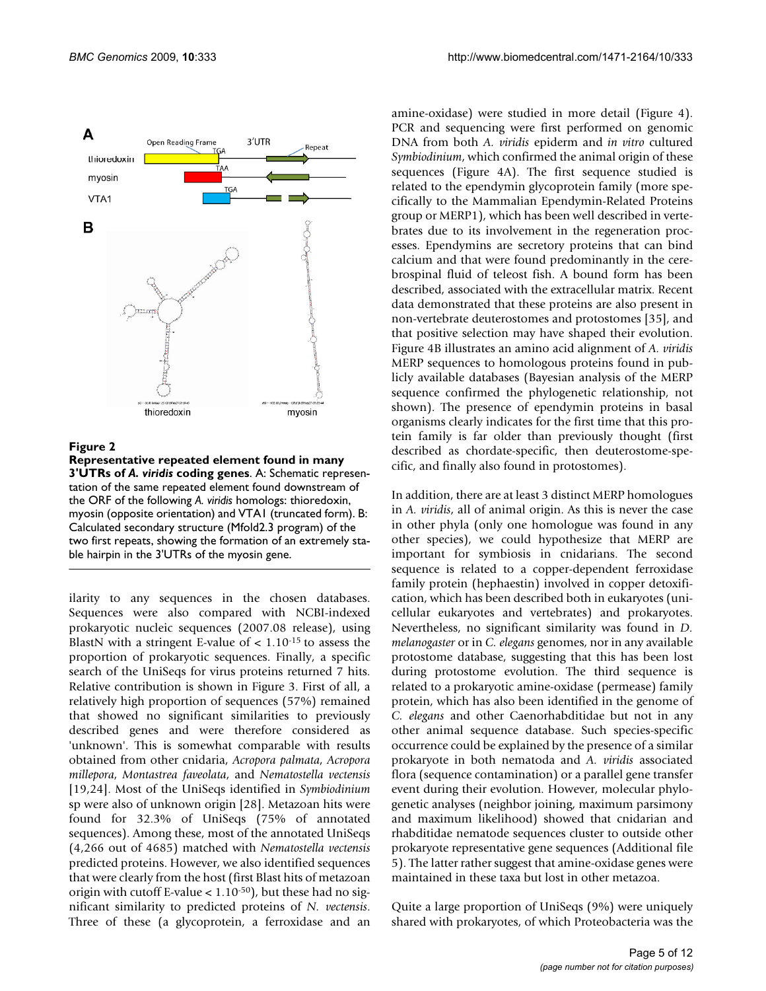

**Representative repeated element found in many 3'UTRs of** *A. viridis* **coding genes**. A: Schematic representation of the same repeated element found downstream of the ORF of the following *A. viridis* homologs: thioredoxin, myosin (opposite orientation) and VTA1 (truncated form). B: Calculated secondary structure (Mfold2.3 program) of the two first repeats, showing the formation of an extremely stable hairpin in the 3'UTRs of the myosin gene.

ilarity to any sequences in the chosen databases. Sequences were also compared with NCBI-indexed prokaryotic nucleic sequences (2007.08 release), using BlastN with a stringent E-value of  $< 1.10^{-15}$  to assess the proportion of prokaryotic sequences. Finally, a specific search of the UniSeqs for virus proteins returned 7 hits. Relative contribution is shown in Figure 3. First of all, a relatively high proportion of sequences (57%) remained that showed no significant similarities to previously described genes and were therefore considered as 'unknown'. This is somewhat comparable with results obtained from other cnidaria, *Acropora palmata*, *Acropora millepora*, *Montastrea faveolata*, and *Nematostella vectensis* [19,24]. Most of the UniSeqs identified in *Symbiodinium* sp were also of unknown origin [28]. Metazoan hits were found for 32.3% of UniSeqs (75% of annotated sequences). Among these, most of the annotated UniSeqs (4,266 out of 4685) matched with *Nematostella vectensis* predicted proteins. However, we also identified sequences that were clearly from the host (first Blast hits of metazoan origin with cutoff E-value < 1.10-50), but these had no significant similarity to predicted proteins of *N. vectensis*. Three of these (a glycoprotein, a ferroxidase and an

amine-oxidase) were studied in more detail (Figure 4). PCR and sequencing were first performed on genomic DNA from both *A. viridis* epiderm and *in vitro* cultured *Symbiodinium*, which confirmed the animal origin of these sequences (Figure 4A). The first sequence studied is related to the ependymin glycoprotein family (more specifically to the Mammalian Ependymin-Related Proteins group or MERP1), which has been well described in vertebrates due to its involvement in the regeneration processes. Ependymins are secretory proteins that can bind calcium and that were found predominantly in the cerebrospinal fluid of teleost fish. A bound form has been described, associated with the extracellular matrix. Recent data demonstrated that these proteins are also present in non-vertebrate deuterostomes and protostomes [35], and that positive selection may have shaped their evolution. Figure 4B illustrates an amino acid alignment of *A. viridis* MERP sequences to homologous proteins found in publicly available databases (Bayesian analysis of the MERP sequence confirmed the phylogenetic relationship, not shown). The presence of ependymin proteins in basal organisms clearly indicates for the first time that this protein family is far older than previously thought (first described as chordate-specific, then deuterostome-specific, and finally also found in protostomes).

In addition, there are at least 3 distinct MERP homologues in *A. viridis*, all of animal origin. As this is never the case in other phyla (only one homologue was found in any other species), we could hypothesize that MERP are important for symbiosis in cnidarians. The second sequence is related to a copper-dependent ferroxidase family protein (hephaestin) involved in copper detoxification, which has been described both in eukaryotes (unicellular eukaryotes and vertebrates) and prokaryotes. Nevertheless, no significant similarity was found in *D. melanogaster* or in *C. elegans* genomes, nor in any available protostome database, suggesting that this has been lost during protostome evolution. The third sequence is related to a prokaryotic amine-oxidase (permease) family protein, which has also been identified in the genome of *C. elegans* and other Caenorhabditidae but not in any other animal sequence database. Such species-specific occurrence could be explained by the presence of a similar prokaryote in both nematoda and *A. viridis* associated flora (sequence contamination) or a parallel gene transfer event during their evolution. However, molecular phylogenetic analyses (neighbor joining, maximum parsimony and maximum likelihood) showed that cnidarian and rhabditidae nematode sequences cluster to outside other prokaryote representative gene sequences (Additional file 5). The latter rather suggest that amine-oxidase genes were maintained in these taxa but lost in other metazoa.

Quite a large proportion of UniSeqs (9%) were uniquely shared with prokaryotes, of which Proteobacteria was the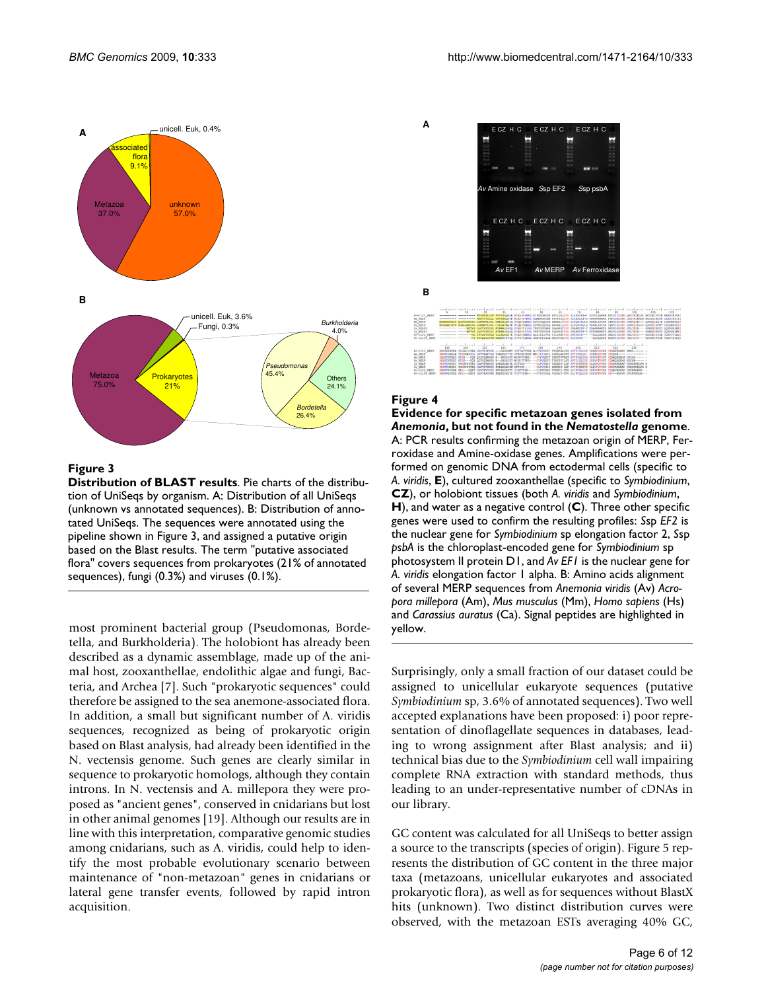



**Distribution of BLAST results**. Pie charts of the distribution of UniSeqs by organism. A: Distribution of all UniSeqs (unknown vs annotated sequences). B: Distribution of annotated UniSeqs. The sequences were annotated using the pipeline shown in Figure 3, and assigned a putative origin based on the Blast results. The term "putative associated flora" covers sequences from prokaryotes (21% of annotated sequences), fungi (0.3%) and viruses (0.1%).

most prominent bacterial group (Pseudomonas, Bordetella, and Burkholderia). The holobiont has already been described as a dynamic assemblage, made up of the animal host, zooxanthellae, endolithic algae and fungi, Bacteria, and Archea [7]. Such "prokaryotic sequences" could therefore be assigned to the sea anemone-associated flora. In addition, a small but significant number of A. viridis sequences, recognized as being of prokaryotic origin based on Blast analysis, had already been identified in the N. vectensis genome. Such genes are clearly similar in sequence to prokaryotic homologs, although they contain introns. In N. vectensis and A. millepora they were proposed as "ancient genes", conserved in cnidarians but lost in other animal genomes [19]. Although our results are in line with this interpretation, comparative genomic studies among cnidarians, such as A. viridis, could help to identify the most probable evolutionary scenario between maintenance of "non-metazoan" genes in cnidarians or lateral gene transfer events, followed by rapid intron acquisition.



## Figure 4

**Evidence for specific metazoan genes isolated from**  *Anemonia***, but not found in the** *Nematostella* **genome**. A: PCR results confirming the metazoan origin of MERP, Ferroxidase and Amine-oxidase genes. Amplifications were performed on genomic DNA from ectodermal cells (specific to *A. viridis*, **E**), cultured zooxanthellae (specific to *Symbiodinium*, **CZ**), or holobiont tissues (both *A. viridis* and *Symbiodinium*, **H**), and water as a negative control (**C**). Three other specific genes were used to confirm the resulting profiles: *S*sp *EF2* is the nuclear gene for *Symbiodinium* sp elongation factor 2, *S*sp *psbA* is the chloroplast-encoded gene for *Symbiodinium* sp photosystem II protein D1, and *Av EF1* is the nuclear gene for *A. viridis* elongation factor 1 alpha. B: Amino acids alignment of several MERP sequences from *Anemonia viridis* (Av) *Acropora millepora* (Am), *Mus musculus* (Mm), *Homo sapiens* (Hs) and *Carassius auratus* (Ca). Signal peptides are highlighted in yellow.

Surprisingly, only a small fraction of our dataset could be assigned to unicellular eukaryote sequences (putative *Symbiodinium* sp, 3.6% of annotated sequences). Two well accepted explanations have been proposed: i) poor representation of dinoflagellate sequences in databases, leading to wrong assignment after Blast analysis; and ii) technical bias due to the *Symbiodinium* cell wall impairing complete RNA extraction with standard methods, thus leading to an under-representative number of cDNAs in our library.

GC content was calculated for all UniSeqs to better assign a source to the transcripts (species of origin). Figure 5 represents the distribution of GC content in the three major taxa (metazoans, unicellular eukaryotes and associated prokaryotic flora), as well as for sequences without BlastX hits (unknown). Two distinct distribution curves were observed, with the metazoan ESTs averaging 40% GC,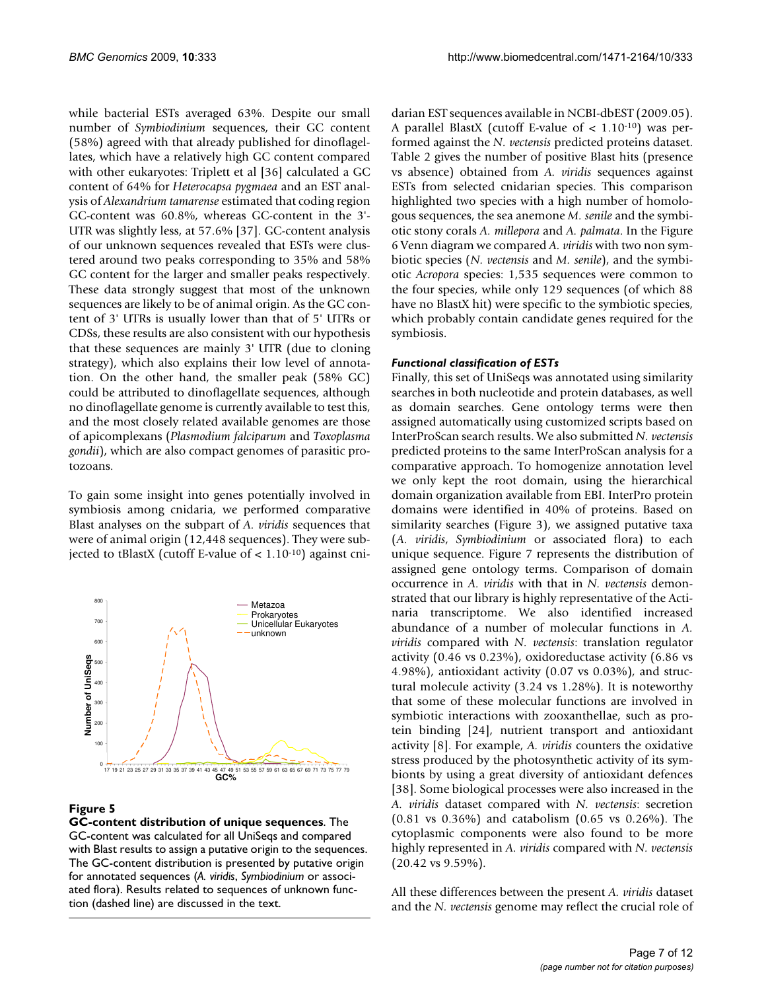while bacterial ESTs averaged 63%. Despite our small number of *Symbiodinium* sequences, their GC content (58%) agreed with that already published for dinoflagellates, which have a relatively high GC content compared with other eukaryotes: Triplett et al [36] calculated a GC content of 64% for *Heterocapsa pygmaea* and an EST analysis of *Alexandrium tamarense* estimated that coding region GC-content was 60.8%, whereas GC-content in the 3'- UTR was slightly less, at 57.6% [37]. GC-content analysis of our unknown sequences revealed that ESTs were clustered around two peaks corresponding to 35% and 58% GC content for the larger and smaller peaks respectively. These data strongly suggest that most of the unknown sequences are likely to be of animal origin. As the GC content of 3' UTRs is usually lower than that of 5' UTRs or CDSs, these results are also consistent with our hypothesis that these sequences are mainly 3' UTR (due to cloning strategy), which also explains their low level of annotation. On the other hand, the smaller peak (58% GC) could be attributed to dinoflagellate sequences, although no dinoflagellate genome is currently available to test this, and the most closely related available genomes are those of apicomplexans (*Plasmodium falciparum* and *Toxoplasma gondii*), which are also compact genomes of parasitic protozoans.

To gain some insight into genes potentially involved in symbiosis among cnidaria, we performed comparative Blast analyses on the subpart of *A. viridis* sequences that were of animal origin (12,448 sequences). They were subjected to tBlastX (cutoff E-value of  $< 1.10^{-10}$ ) against cni-



## **Figure 5**

**GC-content distribution of unique sequences**. The GC-content was calculated for all UniSeqs and compared with Blast results to assign a putative origin to the sequences. The GC-content distribution is presented by putative origin for annotated sequences (*A. viridis*, *Symbiodinium* or associated flora). Results related to sequences of unknown function (dashed line) are discussed in the text.

darian EST sequences available in NCBI-dbEST (2009.05). A parallel BlastX (cutoff E-value of  $< 1.10^{-10}$ ) was performed against the *N. vectensis* predicted proteins dataset. Table 2 gives the number of positive Blast hits (presence vs absence) obtained from *A. viridis* sequences against ESTs from selected cnidarian species. This comparison highlighted two species with a high number of homologous sequences, the sea anemone *M. senile* and the symbiotic stony corals *A. millepora* and *A. palmata*. In the Figure 6 Venn diagram we compared *A. viridis* with two non symbiotic species (*N. vectensis* and *M. senile*), and the symbiotic *Acropora* species: 1,535 sequences were common to the four species, while only 129 sequences (of which 88 have no BlastX hit) were specific to the symbiotic species, which probably contain candidate genes required for the symbiosis.

## *Functional classification of ESTs*

Finally, this set of UniSeqs was annotated using similarity searches in both nucleotide and protein databases, as well as domain searches. Gene ontology terms were then assigned automatically using customized scripts based on InterProScan search results. We also submitted *N. vectensis* predicted proteins to the same InterProScan analysis for a comparative approach. To homogenize annotation level we only kept the root domain, using the hierarchical domain organization available from EBI. InterPro protein domains were identified in 40% of proteins. Based on similarity searches (Figure 3), we assigned putative taxa (*A. viridis*, *Symbiodinium* or associated flora) to each unique sequence. Figure 7 represents the distribution of assigned gene ontology terms. Comparison of domain occurrence in *A. viridis* with that in *N. vectensis* demonstrated that our library is highly representative of the Actinaria transcriptome. We also identified increased abundance of a number of molecular functions in *A. viridis* compared with *N. vectensis*: translation regulator activity (0.46 vs 0.23%), oxidoreductase activity (6.86 vs 4.98%), antioxidant activity (0.07 vs 0.03%), and structural molecule activity (3.24 vs 1.28%). It is noteworthy that some of these molecular functions are involved in symbiotic interactions with zooxanthellae, such as protein binding [24], nutrient transport and antioxidant activity [8]. For example, *A. viridis* counters the oxidative stress produced by the photosynthetic activity of its symbionts by using a great diversity of antioxidant defences [38]. Some biological processes were also increased in the *A. viridis* dataset compared with *N. vectensis*: secretion (0.81 vs 0.36%) and catabolism (0.65 vs 0.26%). The cytoplasmic components were also found to be more highly represented in *A. viridis* compared with *N. vectensis* (20.42 vs 9.59%).

All these differences between the present *A. viridis* dataset and the *N. vectensis* genome may reflect the crucial role of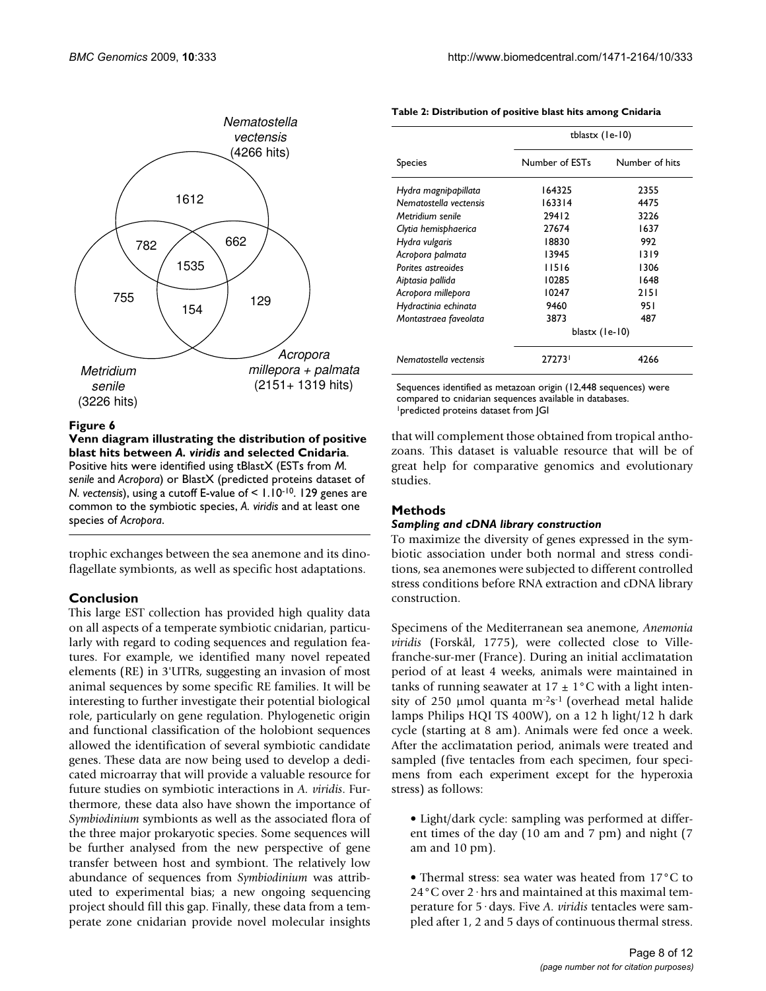

**Venn diagram illustrating the distribution of positive blast hits between** *A. viridis* **and selected Cnidaria**. Positive hits were identified using tBlastX (ESTs from *M. senile* and *Acropora*) or BlastX (predicted proteins dataset of *N. vectensis*), using a cutoff E-value of < 1.10-10. 129 genes are common to the symbiotic species, *A. viridis* and at least one species of *Acropora*.

trophic exchanges between the sea anemone and its dinoflagellate symbionts, as well as specific host adaptations.

## **Conclusion**

This large EST collection has provided high quality data on all aspects of a temperate symbiotic cnidarian, particularly with regard to coding sequences and regulation features. For example, we identified many novel repeated elements (RE) in 3'UTRs, suggesting an invasion of most animal sequences by some specific RE families. It will be interesting to further investigate their potential biological role, particularly on gene regulation. Phylogenetic origin and functional classification of the holobiont sequences allowed the identification of several symbiotic candidate genes. These data are now being used to develop a dedicated microarray that will provide a valuable resource for future studies on symbiotic interactions in *A. viridis*. Furthermore, these data also have shown the importance of *Symbiodinium* symbionts as well as the associated flora of the three major prokaryotic species. Some sequences will be further analysed from the new perspective of gene transfer between host and symbiont. The relatively low abundance of sequences from *Symbiodinium* was attributed to experimental bias; a new ongoing sequencing project should fill this gap. Finally, these data from a temperate zone cnidarian provide novel molecular insights

|                        | tblastx (1e-10)  |                |  |  |  |
|------------------------|------------------|----------------|--|--|--|
| <b>Species</b>         | Number of ESTs   | Number of hits |  |  |  |
| Hydra magnipapillata   | 164325           | 2355           |  |  |  |
| Nematostella vectensis | 163314           | 4475           |  |  |  |
| Metridium senile       | 29412            | 3226           |  |  |  |
| Clytia hemisphaerica   | 27674            | 1637           |  |  |  |
| Hydra vulgaris         | 18830            | 992            |  |  |  |
| Acropora palmata       | 13945            | 1319           |  |  |  |
| Porites astreoides     | 11516            | 1306           |  |  |  |
| Aiptasia pallida       | 10285            | 1648           |  |  |  |
| Acropora millepora     | 10247            | 2151           |  |  |  |
| Hydractinia echinata   | 9460             | 95 I           |  |  |  |
| Montastraea faveolata  | 3873             | 487            |  |  |  |
|                        | blastx $(1e-10)$ |                |  |  |  |
| Nematostella vectensis | 272731           | 4266           |  |  |  |

Sequences identified as metazoan origin (12,448 sequences) were compared to cnidarian sequences available in databases. 1predicted proteins dataset from JGI

that will complement those obtained from tropical anthozoans. This dataset is valuable resource that will be of great help for comparative genomics and evolutionary studies.

## **Methods**

#### *Sampling and cDNA library construction*

To maximize the diversity of genes expressed in the symbiotic association under both normal and stress conditions, sea anemones were subjected to different controlled stress conditions before RNA extraction and cDNA library construction.

Specimens of the Mediterranean sea anemone, *Anemonia viridis* (Forskål, 1775), were collected close to Villefranche-sur-mer (France). During an initial acclimatation period of at least 4 weeks, animals were maintained in tanks of running seawater at  $17 \pm 1$ °C with a light intensity of 250 µmol quanta  $m<sup>-2</sup>s<sup>-1</sup>$  (overhead metal halide lamps Philips HQI TS 400W), on a 12 h light/12 h dark cycle (starting at 8 am). Animals were fed once a week. After the acclimatation period, animals were treated and sampled (five tentacles from each specimen, four specimens from each experiment except for the hyperoxia stress) as follows:

• Light/dark cycle: sampling was performed at different times of the day (10 am and 7 pm) and night (7 am and 10 pm).

• Thermal stress: sea water was heated from 17°C to 24°C over 2·hrs and maintained at this maximal temperature for 5·days. Five *A. viridis* tentacles were sampled after 1, 2 and 5 days of continuous thermal stress.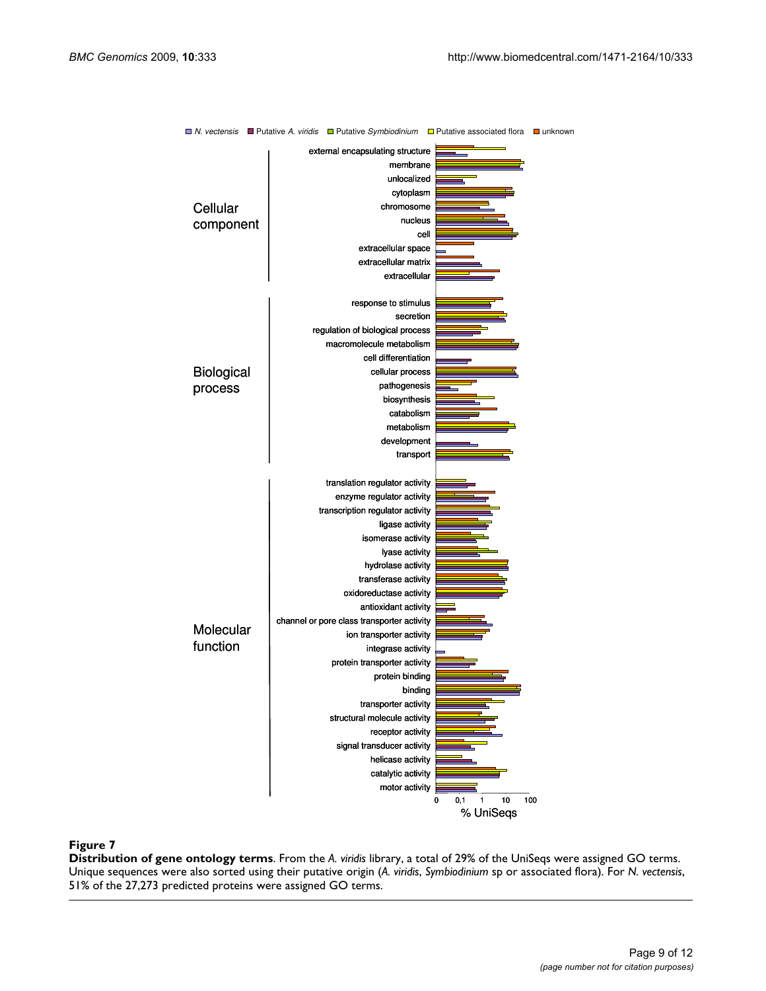

**Distribution of gene ontology terms**. From the *A. viridis* library, a total of 29% of the UniSeqs were assigned GO terms. Unique sequences were also sorted using their putative origin (*A. viridis*, *Symbiodinium* sp or associated flora). For *N. vectensis*, 51% of the 27,273 predicted proteins were assigned GO terms.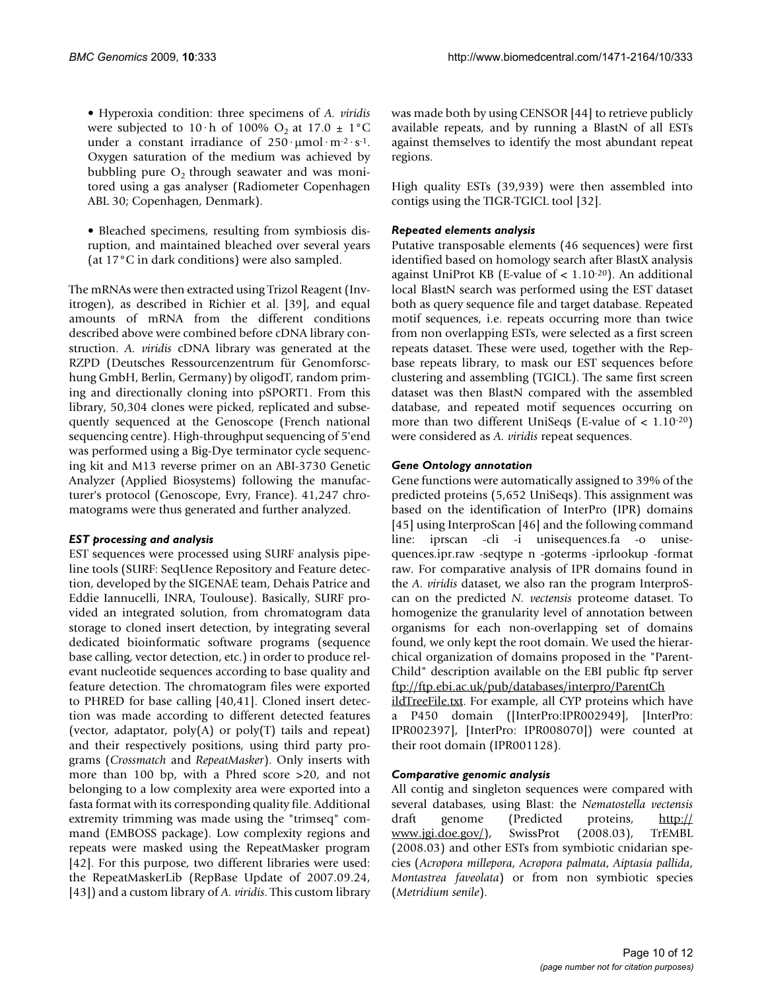• Hyperoxia condition: three specimens of *A. viridis* were subjected to 10 h of 100% O<sub>2</sub> at 17.0  $\pm$  1 °C under a constant irradiance of  $250 \cdot \mu$ mol·m<sup>-2</sup>·s<sup>-1</sup>. Oxygen saturation of the medium was achieved by bubbling pure  $O_2$  through seawater and was monitored using a gas analyser (Radiometer Copenhagen ABL 30; Copenhagen, Denmark).

• Bleached specimens, resulting from symbiosis disruption, and maintained bleached over several years (at 17°C in dark conditions) were also sampled.

The mRNAs were then extracted using Trizol Reagent (Invitrogen), as described in Richier et al. [39], and equal amounts of mRNA from the different conditions described above were combined before cDNA library construction. *A. viridis* cDNA library was generated at the RZPD (Deutsches Ressourcenzentrum für Genomforschung GmbH, Berlin, Germany) by oligodT, random priming and directionally cloning into pSPORT1. From this library, 50,304 clones were picked, replicated and subsequently sequenced at the Genoscope (French national sequencing centre). High-throughput sequencing of 5'end was performed using a Big-Dye terminator cycle sequencing kit and M13 reverse primer on an ABI-3730 Genetic Analyzer (Applied Biosystems) following the manufacturer's protocol (Genoscope, Evry, France). 41,247 chromatograms were thus generated and further analyzed.

## *EST processing and analysis*

EST sequences were processed using SURF analysis pipeline tools (SURF: SeqUence Repository and Feature detection, developed by the SIGENAE team, Dehais Patrice and Eddie Iannucelli, INRA, Toulouse). Basically, SURF provided an integrated solution, from chromatogram data storage to cloned insert detection, by integrating several dedicated bioinformatic software programs (sequence base calling, vector detection, etc.) in order to produce relevant nucleotide sequences according to base quality and feature detection. The chromatogram files were exported to PHRED for base calling [40,41]. Cloned insert detection was made according to different detected features (vector, adaptator, poly(A) or poly(T) tails and repeat) and their respectively positions, using third party programs (*Crossmatch* and *RepeatMasker*). Only inserts with more than 100 bp, with a Phred score >20, and not belonging to a low complexity area were exported into a fasta format with its corresponding quality file. Additional extremity trimming was made using the "trimseq" command (EMBOSS package). Low complexity regions and repeats were masked using the RepeatMasker program [42]. For this purpose, two different libraries were used: the RepeatMaskerLib (RepBase Update of 2007.09.24, [43]) and a custom library of *A. viridis*. This custom library was made both by using CENSOR [44] to retrieve publicly available repeats, and by running a BlastN of all ESTs against themselves to identify the most abundant repeat regions.

High quality ESTs (39,939) were then assembled into contigs using the TIGR-TGICL tool [32].

#### *Repeated elements analysis*

Putative transposable elements (46 sequences) were first identified based on homology search after BlastX analysis against UniProt KB (E-value of  $< 1.10^{-20}$ ). An additional local BlastN search was performed using the EST dataset both as query sequence file and target database. Repeated motif sequences, i.e. repeats occurring more than twice from non overlapping ESTs, were selected as a first screen repeats dataset. These were used, together with the Repbase repeats library, to mask our EST sequences before clustering and assembling (TGICL). The same first screen dataset was then BlastN compared with the assembled database, and repeated motif sequences occurring on more than two different UniSeqs (E-value of  $< 1.10^{-20}$ ) were considered as *A. viridis* repeat sequences.

## *Gene Ontology annotation*

Gene functions were automatically assigned to 39% of the predicted proteins (5,652 UniSeqs). This assignment was based on the identification of InterPro (IPR) domains [45] using InterproScan [46] and the following command line: iprscan -cli -i unisequences.fa -o unisequences.ipr.raw -seqtype n -goterms -iprlookup -format raw. For comparative analysis of IPR domains found in the *A. viridis* dataset, we also ran the program InterproScan on the predicted *N. vectensis* proteome dataset. To homogenize the granularity level of annotation between organisms for each non-overlapping set of domains found, we only kept the root domain. We used the hierarchical organization of domains proposed in the "Parent-Child" description available on the EBI public ftp server [ftp://ftp.ebi.ac.uk/pub/databases/interpro/ParentCh](ftp://ftp.ebi.ac.uk/pub/databases/interpro/ParentChildTreeFile.txt)

[ildTreeFile.txt](ftp://ftp.ebi.ac.uk/pub/databases/interpro/ParentChildTreeFile.txt). For example, all CYP proteins which have a P450 domain ([InterPro:IPR002949], [InterPro: IPR002397], [InterPro: IPR008070]) were counted at their root domain (IPR001128).

## *Comparative genomic analysis*

All contig and singleton sequences were compared with several databases, using Blast: the *Nematostella vectensis* draft genome (Predicted proteins, [http://](http://www.jgi.doe.gov/) [www.jgi.doe.gov/\)](http://www.jgi.doe.gov/), SwissProt (2008.03), TrEMBL (2008.03) and other ESTs from symbiotic cnidarian species (*Acropora millepora*, *Acropora palmata*, *Aiptasia pallida*, *Montastrea faveolata*) or from non symbiotic species (*Metridium senile*).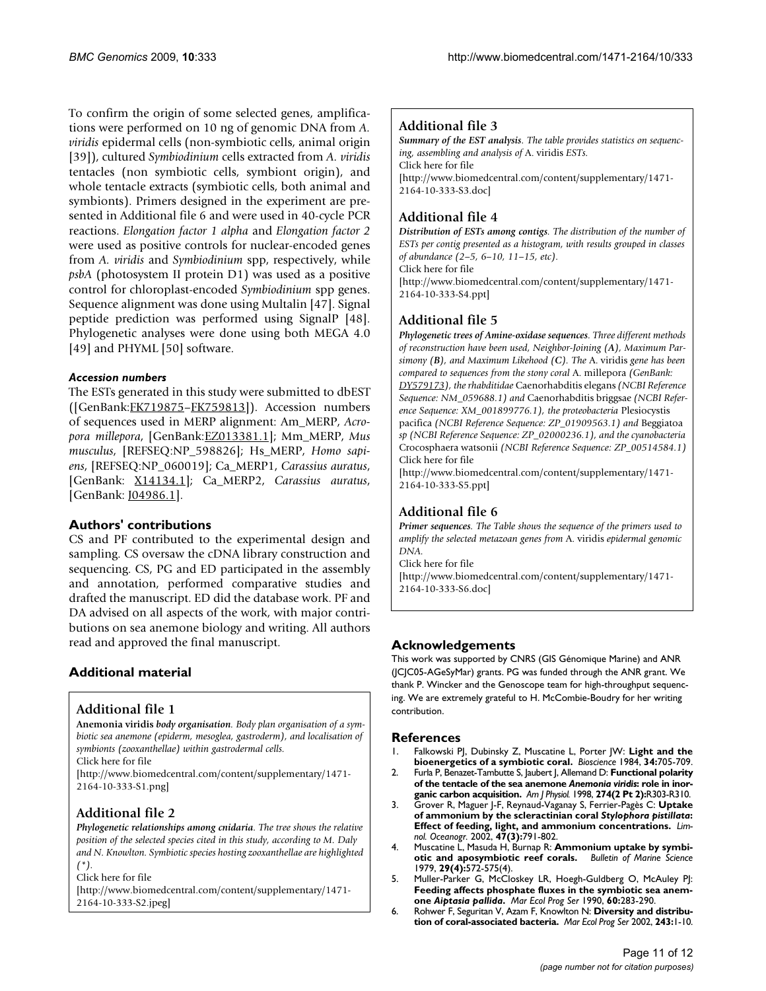To confirm the origin of some selected genes, amplifications were performed on 10 ng of genomic DNA from *A. viridis* epidermal cells (non-symbiotic cells, animal origin [39]), cultured *Symbiodinium* cells extracted from *A. viridis* tentacles (non symbiotic cells, symbiont origin), and whole tentacle extracts (symbiotic cells, both animal and symbionts). Primers designed in the experiment are presented in Additional file 6 and were used in 40-cycle PCR reactions. *Elongation factor 1 alpha* and *Elongation factor 2* were used as positive controls for nuclear-encoded genes from *A. viridis* and *Symbiodinium* spp, respectively, while *psbA* (photosystem II protein D1) was used as a positive control for chloroplast-encoded *Symbiodinium* spp genes. Sequence alignment was done using Multalin [47]. Signal peptide prediction was performed using SignalP [48]. Phylogenetic analyses were done using both MEGA 4.0 [49] and PHYML [50] software.

#### *Accession numbers*

The ESTs generated in this study were submitted to dbEST  $($ [GenBank:[FK719875](http://www.ncbi.nih.gov/entrez/query.fcgi?db=Nucleotide&cmd=search&term=FK719875)–[FK759813](http://www.ncbi.nih.gov/entrez/query.fcgi?db=Nucleotide&cmd=search&term=FK759813)]</sub> $)$ . Accession numbers of sequences used in MERP alignment: Am\_MERP, *Acropora millepora*, [GenBank:[EZ013381.1](http://www.ncbi.nih.gov/entrez/query.fcgi?db=Nucleotide&cmd=search&term=EZ013381.1)]; Mm\_MERP, *Mus musculus*, [REFSEQ:NP\_598826]; Hs\_MERP, *Homo sapiens*, [REFSEQ:NP\_060019]; Ca\_MERP1, *Carassius auratus*, [GenBank: [X14134.1\]](http://www.ncbi.nih.gov/entrez/query.fcgi?db=Nucleotide&cmd=search&term=X14134.1); Ca\_MERP2, *Carassius auratus*, [GenBank: [J04986.1](http://www.ncbi.nih.gov/entrez/query.fcgi?db=Nucleotide&cmd=search&term=J04986.1)].

## **Authors' contributions**

CS and PF contributed to the experimental design and sampling. CS oversaw the cDNA library construction and sequencing. CS, PG and ED participated in the assembly and annotation, performed comparative studies and drafted the manuscript. ED did the database work. PF and DA advised on all aspects of the work, with major contributions on sea anemone biology and writing. All authors read and approved the final manuscript.

## **Additional material**

## **Additional file 1**

**Anemonia viridis** *body organisation. Body plan organisation of a symbiotic sea anemone (epiderm, mesoglea, gastroderm), and localisation of symbionts (zooxanthellae) within gastrodermal cells.* Click here for file

[\[http://www.biomedcentral.com/content/supplementary/1471-](http://www.biomedcentral.com/content/supplementary/1471-2164-10-333-S1.png) 2164-10-333-S1.png]

# **Additional file 2**

*Phylogenetic relationships among cnidaria. The tree shows the relative position of the selected species cited in this study, according to M. Daly and N. Knowlton. Symbiotic species hosting zooxanthellae are highlighted (\*).*

Click here for file

[\[http://www.biomedcentral.com/content/supplementary/1471-](http://www.biomedcentral.com/content/supplementary/1471-2164-10-333-S2.jpeg) 2164-10-333-S2.jpeg]

## **Additional file 3**

*Summary of the EST analysis. The table provides statistics on sequencing, assembling and analysis of* A. viridis *ESTs.* Click here for file [\[http://www.biomedcentral.com/content/supplementary/1471-](http://www.biomedcentral.com/content/supplementary/1471-2164-10-333-S3.doc) 2164-10-333-S3.doc]

# **Additional file 4**

*Distribution of ESTs among contigs. The distribution of the number of ESTs per contig presented as a histogram, with results grouped in classes of abundance (2–5, 6–10, 11–15, etc).* Click here for file [\[http://www.biomedcentral.com/content/supplementary/1471-](http://www.biomedcentral.com/content/supplementary/1471-2164-10-333-S4.ppt)

2164-10-333-S4.ppt]

# **Additional file 5**

*Phylogenetic trees of Amine-oxidase sequences. Three different methods of reconstruction have been used, Neighbor-Joining (A), Maximum Parsimony (B), and Maximum Likehood (C). The* A. viridis *gene has been compared to sequences from the stony coral* A. millepora *(GenBank: [DY579173](http://www.ncbi.nih.gov/entrez/query.fcgi?db=Nucleotide&cmd=search&term=DY579173)), the rhabditidae* Caenorhabditis elegans *(NCBI Reference Sequence: NM\_059688.1) and* Caenorhabditis briggsae *(NCBI Reference Sequence: XM\_001899776.1), the proteobacteria* Plesiocystis pacifica *(NCBI Reference Sequence: ZP\_01909563.1) and* Beggiatoa *sp (NCBI Reference Sequence: ZP\_02000236.1), and the cyanobacteria*  Crocosphaera watsonii *(NCBI Reference Sequence: ZP\_00514584.1)* Click here for file [\[http://www.biomedcentral.com/content/supplementary/1471-](http://www.biomedcentral.com/content/supplementary/1471-2164-10-333-S5.ppt)

2164-10-333-S5.ppt]

# **Additional file 6**

*Primer sequences. The Table shows the sequence of the primers used to amplify the selected metazoan genes from* A. viridis *epidermal genomic DNA.*

Click here for file

[\[http://www.biomedcentral.com/content/supplementary/1471-](http://www.biomedcentral.com/content/supplementary/1471-2164-10-333-S6.doc) 2164-10-333-S6.doc]

## **Acknowledgements**

This work was supported by CNRS (GIS Génomique Marine) and ANR (JCJC05-AGeSyMar) grants. PG was funded through the ANR grant. We thank P. Wincker and the Genoscope team for high-throughput sequencing. We are extremely grateful to H. McCombie-Boudry for her writing contribution.

#### **References**

- 1. Falkowski PJ, Dubinsky Z, Muscatine L, Porter JW: **Light and the bioenergetics of a symbiotic coral.** *Bioscience* 1984, **34:**705-709.
- <span id="page-10-0"></span>2. Furla P, Benazet-Tambutte S, Jaubert J, Allemand D: **Functional polarity of the tentacle of the sea anemone** *Anemonia viridis***[: role in inor](http://www.ncbi.nlm.nih.gov/entrez/query.fcgi?cmd=Retrieve&db=PubMed&dopt=Abstract&list_uids=9486285)[ganic carbon acquisition.](http://www.ncbi.nlm.nih.gov/entrez/query.fcgi?cmd=Retrieve&db=PubMed&dopt=Abstract&list_uids=9486285)** *Am J Physiol.* 1998, **274(2 Pt 2):**R303-R310.
- 3. Grover R, Maguer J-F, Reynaud-Vaganay S, Ferrier-Pagès C: **Uptake of ammonium by the scleractinian coral** *Stylophora pistillata***: Effect of feeding, light, and ammonium concentrations.** *Limnol. Oceanogr.* 2002, **47(3):**791-802.
- 4. Muscatine L, Masuda H, Burnap R: **Ammonium uptake by symbiotic and aposymbiotic reef corals.** *Bulletin of Marine Science* 1979, **29(4):**572-575(4).
- 5. Muller-Parker G, McCloskey LR, Hoegh-Guldberg O, McAuley PJ: **Feeding affects phosphate fluxes in the symbiotic sea anemone** *Aiptasia pallida***.** *Mar Ecol Prog Ser* 1990, **60:**283-290.
- 6. Rohwer F, Seguritan V, Azam F, Knowlton N: **Diversity and distribution of coral-associated bacteria.** *Mar Ecol Prog Ser* 2002, **243:**1-10.